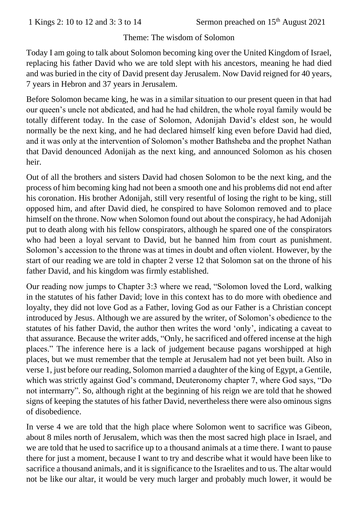## Theme: The wisdom of Solomon

Today I am going to talk about Solomon becoming king over the United Kingdom of Israel, replacing his father David who we are told slept with his ancestors, meaning he had died and was buried in the city of David present day Jerusalem. Now David reigned for 40 years, 7 years in Hebron and 37 years in Jerusalem.

Before Solomon became king, he was in a similar situation to our present queen in that had our queen's uncle not abdicated, and had he had children, the whole royal family would be totally different today. In the case of Solomon, Adonijah David's eldest son, he would normally be the next king, and he had declared himself king even before David had died, and it was only at the intervention of Solomon's mother Bathsheba and the prophet Nathan that David denounced Adonijah as the next king, and announced Solomon as his chosen heir.

Out of all the brothers and sisters David had chosen Solomon to be the next king, and the process of him becoming king had not been a smooth one and his problems did not end after his coronation. His brother Adonijah, still very resentful of losing the right to be king, still opposed him, and after David died, he conspired to have Solomon removed and to place himself on the throne. Now when Solomon found out about the conspiracy, he had Adonijah put to death along with his fellow conspirators, although he spared one of the conspirators who had been a loyal servant to David, but he banned him from court as punishment. Solomon's accession to the throne was at times in doubt and often violent. However, by the start of our reading we are told in chapter 2 verse 12 that Solomon sat on the throne of his father David, and his kingdom was firmly established.

Our reading now jumps to Chapter 3:3 where we read, "Solomon loved the Lord, walking in the statutes of his father David; love in this context has to do more with obedience and loyalty, they did not love God as a Father, loving God as our Father is a Christian concept introduced by Jesus. Although we are assured by the writer, of Solomon's obedience to the statutes of his father David, the author then writes the word 'only', indicating a caveat to that assurance. Because the writer adds, "Only, he sacrificed and offered incense at the high places." The inference here is a lack of judgement because pagans worshipped at high places, but we must remember that the temple at Jerusalem had not yet been built. Also in verse 1, just before our reading, Solomon married a daughter of the king of Egypt, a Gentile, which was strictly against God's command, Deuteronomy chapter 7, where God says, "Do not intermarry". So, although right at the beginning of his reign we are told that he showed signs of keeping the statutes of his father David, nevertheless there were also ominous signs of disobedience.

In verse 4 we are told that the high place where Solomon went to sacrifice was Gibeon, about 8 miles north of Jerusalem, which was then the most sacred high place in Israel, and we are told that he used to sacrifice up to a thousand animals at a time there. I want to pause there for just a moment, because I want to try and describe what it would have been like to sacrifice a thousand animals, and it is significance to the Israelites and to us. The altar would not be like our altar, it would be very much larger and probably much lower, it would be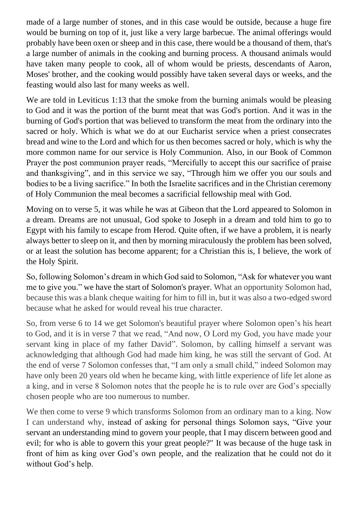made of a large number of stones, and in this case would be outside, because a huge fire would be burning on top of it, just like a very large barbecue. The animal offerings would probably have been oxen or sheep and in this case, there would be a thousand of them, that's a large number of animals in the cooking and burning process. A thousand animals would have taken many people to cook, all of whom would be priests, descendants of Aaron, Moses' brother, and the cooking would possibly have taken several days or weeks, and the feasting would also last for many weeks as well.

We are told in Leviticus 1:13 that the smoke from the burning animals would be pleasing to God and it was the portion of the burnt meat that was God's portion. And it was in the burning of God's portion that was believed to transform the meat from the ordinary into the sacred or holy. Which is what we do at our Eucharist service when a priest consecrates bread and wine to the Lord and which for us then becomes sacred or holy, which is why the more common name for our service is Holy Communion. Also, in our Book of Common Prayer the post communion prayer reads, "Mercifully to accept this our sacrifice of praise and thanksgiving", and in this service we say, "Through him we offer you our souls and bodies to be a living sacrifice." In both the Israelite sacrifices and in the Christian ceremony of Holy Communion the meal becomes a sacrificial fellowship meal with God.

Moving on to verse 5, it was while he was at Gibeon that the Lord appeared to Solomon in a dream. Dreams are not unusual, God spoke to Joseph in a dream and told him to go to Egypt with his family to escape from Herod. Quite often, if we have a problem, it is nearly always better to sleep on it, and then by morning miraculously the problem has been solved, or at least the solution has become apparent; for a Christian this is, I believe, the work of the Holy Spirit.

So, following Solomon's dream in which God said to Solomon, "Ask for whatever you want me to give you." we have the start of Solomon's prayer. What an opportunity Solomon had, because this was a blank cheque waiting for him to fill in, but it was also a two-edged sword because what he asked for would reveal his true character.

So, from verse 6 to 14 we get Solomon's beautiful prayer where Solomon open's his heart to God, and it is in verse 7 that we read, "And now, O Lord my God, you have made your servant king in place of my father David". Solomon, by calling himself a servant was acknowledging that although God had made him king, he was still the servant of God. At the end of verse 7 Solomon confesses that, "I am only a small child," indeed Solomon may have only been 20 years old when he became king, with little experience of life let alone as a king, and in verse 8 Solomon notes that the people he is to rule over are God's specially chosen people who are too numerous to number.

We then come to verse 9 which transforms Solomon from an ordinary man to a king. Now I can understand why, instead of asking for personal things Solomon says, "Give your servant an understanding mind to govern your people, that I may discern between good and evil; for who is able to govern this your great people?" It was because of the huge task in front of him as king over God's own people, and the realization that he could not do it without God's help.